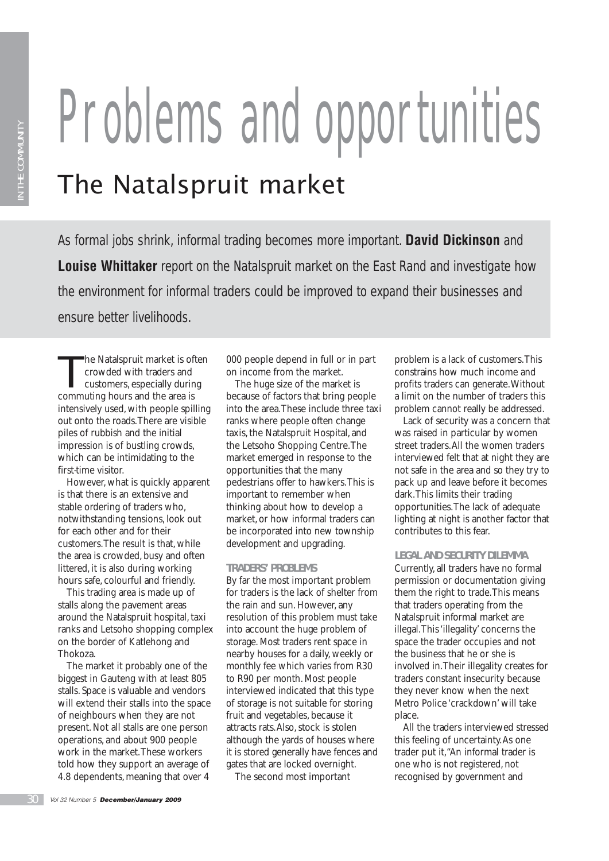# Problems and opportunities The Natalspruit market

As formal jobs shrink, informal trading becomes more important. **David Dickinson** and **Louise Whittaker** report on the Natalspruit market on the East Rand and investigate how the environment for informal traders could be improved to expand their businesses and ensure better livelihoods.

The Natalspruit market is often crowded with traders and customers, especially during commuting hours and the area is intensively used, with people spilling out onto the roads. There are visible piles of rubbish and the initial impression is of bustling crowds, which can be intimidating to the first-time visitor.

However, what is quickly apparent is that there is an extensive and stable ordering of traders who, notwithstanding tensions, look out for each other and for their customers. The result is that, while the area is crowded, busy and often littered, it is also during working hours safe, colourful and friendly.

This trading area is made up of stalls along the pavement areas around the Natalspruit hospital, taxi ranks and Letsoho shopping complex on the border of Katlehong and Thokoza.

The market it probably one of the biggest in Gauteng with at least 805 stalls. Space is valuable and vendors will extend their stalls into the space of neighbours when they are not present. Not all stalls are one person operations, and about 900 people work in the market. These workers told how they support an average of 4.8 dependents, meaning that over 4

000 people depend in full or in part on income from the market.

The huge size of the market is because of factors that bring people into the area. These include three taxi ranks where people often change taxis, the Natalspruit Hospital, and the Letsoho Shopping Centre. The market emerged in response to the opportunities that the many pedestrians offer to hawkers. This is important to remember when thinking about how to develop a market, or how informal traders can be incorporated into new township development and upgrading.

# **TRADERS' PROBLEMS**

By far the most important problem for traders is the lack of shelter from the rain and sun. However, any resolution of this problem must take into account the huge problem of storage. Most traders rent space in nearby houses for a daily, weekly or monthly fee which varies from R30 to R90 per month. Most people interviewed indicated that this type of storage is not suitable for storing fruit and vegetables, because it attracts rats. Also, stock is stolen although the yards of houses where it is stored generally have fences and gates that are locked overnight.

The second most important

problem is a lack of customers. This constrains how much income and profits traders can generate. Without a limit on the number of traders this problem cannot really be addressed.

Lack of security was a concern that was raised in particular by women street traders. All the women traders interviewed felt that at night they are not safe in the area and so they try to pack up and leave before it becomes dark. This limits their trading opportunities. The lack of adequate lighting at night is another factor that contributes to this fear.

### **LEGAL AND SECURITY DILEMMA**

Currently, all traders have no formal permission or documentation giving them the right to trade. This means that traders operating from the Natalspruit informal market are illegal. This 'illegality' concerns the space the trader occupies and not the business that he or she is involved in. Their illegality creates for traders constant insecurity because they never know when the next Metro Police 'crackdown' will take place.

All the traders interviewed stressed this feeling of uncertainty. As one trader put it, "An informal trader is one who is not registered, not recognised by government and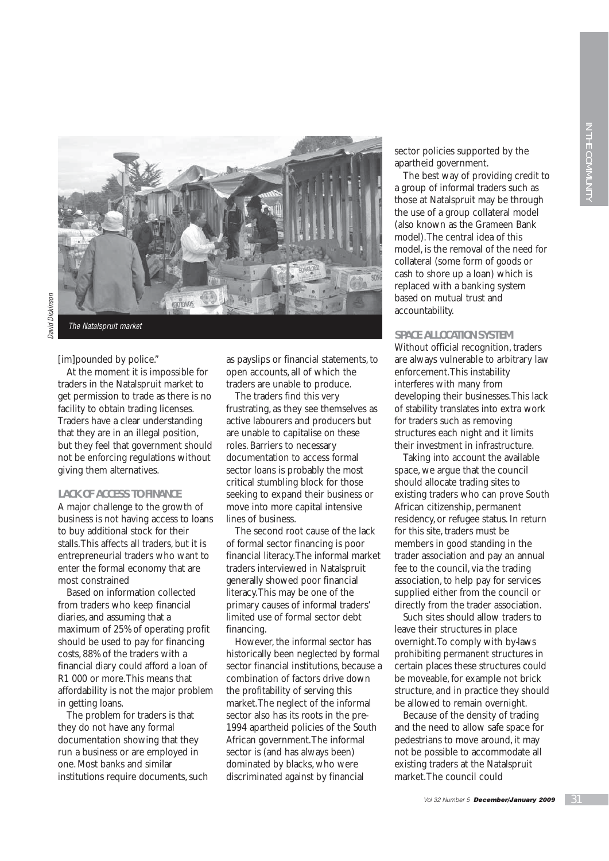

[im]pounded by police."

At the moment it is impossible for traders in the Natalspruit market to get permission to trade as there is no facility to obtain trading licenses. Traders have a clear understanding that they are in an illegal position, but they feel that government should not be enforcing regulations without giving them alternatives.

### **LACK OF ACCESS TO FINANCE**

A major challenge to the growth of business is not having access to loans to buy additional stock for their stalls. This affects all traders, but it is entrepreneurial traders who want to enter the formal economy that are most constrained

Based on information collected from traders who keep financial diaries, and assuming that a maximum of 25% of operating profit should be used to pay for financing costs, 88% of the traders with a financial diary could afford a loan of R1 000 or more. This means that affordability is not the major problem in getting loans.

The problem for traders is that they do not have any formal documentation showing that they run a business or are employed in one. Most banks and similar institutions require documents, such as payslips or financial statements, to open accounts, all of which the traders are unable to produce.

The traders find this very frustrating, as they see themselves as active labourers and producers but are unable to capitalise on these roles. Barriers to necessary documentation to access formal sector loans is probably the most critical stumbling block for those seeking to expand their business or move into more capital intensive lines of business.

The second root cause of the lack of formal sector financing is poor financial literacy. The informal market traders interviewed in Natalspruit generally showed poor financial literacy. This may be one of the primary causes of informal traders' limited use of formal sector debt financing.

However, the informal sector has historically been neglected by formal sector financial institutions, because a combination of factors drive down the profitability of serving this market. The neglect of the informal sector also has its roots in the pre-1994 apartheid policies of the South African government. The informal sector is (and has always been) dominated by blacks, who were discriminated against by financial

sector policies supported by the apartheid government.

The best way of providing credit to a group of informal traders such as those at Natalspruit may be through the use of a group collateral model (also known as the Grameen Bank model). The central idea of this model, is the removal of the need for collateral (some form of goods or cash to shore up a loan) which is replaced with a banking system based on mutual trust and accountability.

### **SPACE ALLOCATION SYSTEM**

Without official recognition, traders are always vulnerable to arbitrary law enforcement. This instability interferes with many from developing their businesses. This lack of stability translates into extra work for traders such as removing structures each night and it limits their investment in infrastructure.

Taking into account the available space, we argue that the council should allocate trading sites to existing traders who can prove South African citizenship, permanent residency, or refugee status. In return for this site, traders must be members in good standing in the trader association and pay an annual fee to the council, via the trading association, to help pay for services supplied either from the council or directly from the trader association.

Such sites should allow traders to leave their structures in place overnight. To comply with by-laws prohibiting permanent structures in certain places these structures could be moveable, for example not brick structure, and in practice they should be allowed to remain overnight.

Because of the density of trading and the need to allow safe space for pedestrians to move around, it may not be possible to accommodate all existing traders at the Natalspruit market. The council could